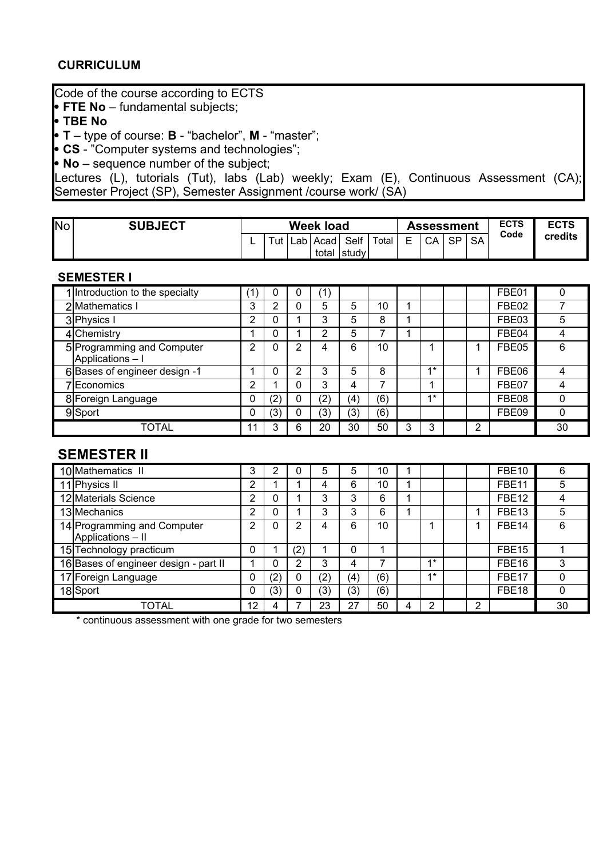#### **CURRICULUM**

## Code of the course according to ECTS

**FTE No** – fundamental subjects;

**TBE No**

**T** – type of course: **B** - "bachelor", **M** - "master";

**CS** - "Computer systems and technologies";

**No** – sequence number of the subject;

Lectures (L), tutorials (Tut), labs (Lab) weekly; Exam (E), Continuous Assessment (CA); Semester Project (SP), Semester Assignment /course work/ (SA)

| <b>No</b> | <b>SUBJECT</b> |      |     | <b>Week load</b> |        |       |         | <b>Assessment</b> |           |           | <b>ECTS</b> | <b>ECTS</b> |
|-----------|----------------|------|-----|------------------|--------|-------|---------|-------------------|-----------|-----------|-------------|-------------|
|           |                | Tut. | ∟ab | Acad             | Self   | Total | E.<br>_ | CA                | <b>SP</b> | <b>SA</b> | Code        | credits     |
|           |                |      |     | total            | ⊺studv |       |         |                   |           |           |             |             |

#### **SEMESTER I**

| 1 Introduction to the specialty                | (1) | 0   | 0 | (1) |     |     |   |      |   | FBE01 |    |
|------------------------------------------------|-----|-----|---|-----|-----|-----|---|------|---|-------|----|
| 2 Mathematics I                                | 3   | ◠   | 0 | 5   | 5   | 10  |   |      |   | FBE02 |    |
| 3 Physics I                                    | ◠   | 0   |   | 3   | 5   | 8   |   |      |   | FBE03 | 5  |
| 4 Chemistry                                    |     | 0   |   | 2   | 5   |     |   |      |   | FBE04 |    |
| 5 Programming and Computer<br>Applications - I | ົ   | 0   | າ | 4   | 6   | 10  |   |      |   | FBE05 | 6  |
| 6 Bases of engineer design -1                  |     |     | 2 | 3   | 5   | 8   |   | $4*$ |   | FBE06 |    |
| 7 Economics                                    | ◠   |     | 0 | 3   | 4   |     |   |      |   | FBE07 |    |
| 8 Foreign Language                             |     | (2) | 0 | (2) | (4) | (6) |   | $4*$ |   | FBE08 |    |
| 9Sport                                         |     | (3) | 0 | (3) | (3) | (6) |   |      |   | FBE09 |    |
| <b>TOTAL</b>                                   | 11  | ◠   | 6 | 20  | 30  | 50  | 3 | 3    | ົ |       | 30 |

### **SEMESTER II**

| 10 Mathematics II                                | 3  |                         | 0                 | 5   | 5        | 10  |      |   | <b>FBE10</b>      | 6  |
|--------------------------------------------------|----|-------------------------|-------------------|-----|----------|-----|------|---|-------------------|----|
| 11 Physics II                                    | າ  |                         |                   | 4   | 6        | 10  |      |   | FBE <sub>11</sub> | 5  |
| 12 Materials Science                             | ົ  |                         |                   | 3   | 3        | 6   |      |   | FBE <sub>12</sub> |    |
| 13 Mechanics                                     | ົ  |                         |                   | 3   | 3        | 6   |      |   | FBE13             | 5  |
| 14 Programming and Computer<br>Applications - II | っ  |                         | 2                 | 4   | 6        | 10  |      |   | FBE <sub>14</sub> | 6  |
| 15 Technology practicum                          |    |                         | $\left( 2\right)$ |     | $\Omega$ |     |      |   | FBE <sub>15</sub> |    |
| 16 Bases of engineer design - part II            |    |                         | 2                 | 3   | 4        |     | $4*$ |   | FBE <sub>16</sub> | 3  |
| 17 Foreign Language                              |    | $\mathbf{^{\prime }}2)$ | 0                 | (2) | (4)      | (6) | $4*$ |   | FBE17             |    |
| 18Sport                                          | 0  | (3)                     | 0                 | (3) | (3)      | (6) |      |   | FBE <sub>18</sub> |    |
| TOTAL                                            | 12 |                         |                   | 23  | 27       | 50  | っ    | າ |                   | 30 |

\* continuous assessment with one grade for two semesters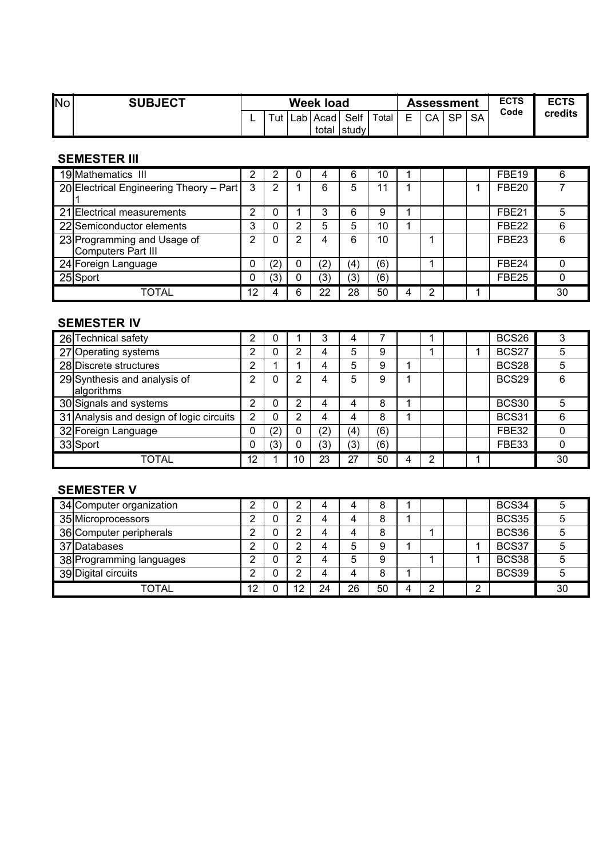| <b>INo</b> | <b>SUBJECT</b> |   | Week load |     |      |                      |        |                               | <b>Assessment</b> |           |           | <b>ECTS</b> | <b>ECTS</b> |
|------------|----------------|---|-----------|-----|------|----------------------|--------|-------------------------------|-------------------|-----------|-----------|-------------|-------------|
|            |                | - | Tut       | Lab | Acad | Self<br>total  study | Total, | $\overline{\phantom{0}}$<br>- | CA                | <b>SP</b> | <b>SA</b> | Code        | credits     |

### **SEMESTER III**

| 19 Mathematics III                                | ⌒   |                   | 0 |                   | 6   | 10  |   |   |  | FBE <sub>19</sub> | 6  |
|---------------------------------------------------|-----|-------------------|---|-------------------|-----|-----|---|---|--|-------------------|----|
| 20 Electrical Engineering Theory - Part           | - 3 | ົ                 |   | 6                 | 5   | 1   |   |   |  | FBE <sub>20</sub> |    |
| 21 Electrical measurements                        | ⌒   |                   |   | ◠                 | 6   | 9   |   |   |  | FBE <sub>21</sub> |    |
| 22 Semiconductor elements                         | ິ   |                   | っ | 5                 | 5   | 10  |   |   |  | FBE <sub>22</sub> |    |
| 23 Programming and Usage of<br>Computers Part III | ົ   |                   | 2 | 4                 | 6   | 10  |   |   |  | FBE <sub>23</sub> | 6  |
| 24 Foreign Language                               |     | $\left( 2\right)$ | 0 | $\left( 2\right)$ | (4  | (6) |   |   |  | FBE <sub>24</sub> |    |
| 25 Sport                                          |     | (3)               | 0 | (3)               | (3) | (6) |   |   |  | FBE25             |    |
| TOTAL                                             | 12  |                   | 6 | 22                | 28  | 50  | Δ | ◠ |  |                   | 30 |

# **SEMESTER IV**

| 26 Technical safety                        |    |                      |    | ◠   |     |     |   |  | <b>BCS26</b>      | っ  |
|--------------------------------------------|----|----------------------|----|-----|-----|-----|---|--|-------------------|----|
| 27 Operating systems                       |    |                      | っ  | 4   | 5   | 9   |   |  | BCS27             |    |
| 28 Discrete structures                     | ◠  |                      |    | 4   | 5   | 9   |   |  | <b>BCS28</b>      |    |
| 29 Synthesis and analysis of<br>algorithms | ≘  |                      | 2  | 4   | 5   | 9   |   |  | BCS <sub>29</sub> | 6  |
| 30 Signals and systems                     |    |                      | 2  | 4   |     | 8   |   |  | BCS30             |    |
| 31 Analysis and design of logic circuits   | っ  |                      | 2  | 4   | 4   | 8   |   |  | BCS31             |    |
| 32 Foreign Language                        |    | $^{\prime}2$ ,       | 0  | (2) | (4) | (6) |   |  | FBE32             |    |
| 33 Sport                                   |    | $\mathbf{3}^{\cdot}$ | 0  | (3) | (3) | (6) |   |  | FBE33             |    |
| TOTAL                                      | 12 |                      | 10 | 23  | 27  | 50  | ◠ |  |                   | 30 |

# **SEMESTER V**

| 34 Computer organization |    | ◠  |    |    | ο  |   |   |   | BCS34        |    |
|--------------------------|----|----|----|----|----|---|---|---|--------------|----|
| 35 Microprocessors       |    | ⌒  |    |    | 8  |   |   |   | BCS35        |    |
| 36 Computer peripherals  |    | ◠  |    |    | 8  |   |   |   | BCS36        |    |
| 37 Databases             |    | ⌒  |    | 5  | g  |   |   |   | BCS37        |    |
| 38 Programming languages |    | ◠  |    | 5  | 9  |   |   |   | BCS38        |    |
| 39 Digital circuits      |    | ົ  |    |    | 8  |   |   |   | <b>BCS39</b> |    |
| <b>TOTAL</b>             | 12 | 12 | 24 | 26 | 50 | 4 | ົ | ົ |              | 30 |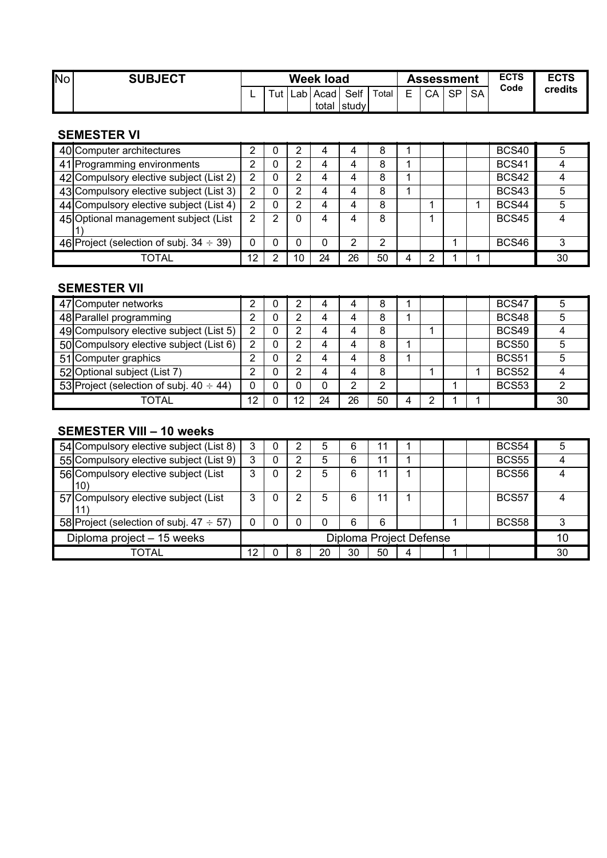| 'No | <b>SUBJECT</b> | <b>Week load</b> |        |       |        |                     |       |                     | Assessment |           |           | <b>ECTS</b> | <b>ECTS</b> |
|-----|----------------|------------------|--------|-------|--------|---------------------|-------|---------------------|------------|-----------|-----------|-------------|-------------|
|     |                |                  | $T$ ut | Lab I | Acad I | Self<br>total study | Total | $\overline{ }$<br>- | CA         | <b>SP</b> | <b>SA</b> | Code        | credits     |

#### **SEMESTER VI**

| 40 Computer architectures                     |    | υ |    |    |    | 8  |   |  | <b>BCS40</b> |    |
|-----------------------------------------------|----|---|----|----|----|----|---|--|--------------|----|
| 41 Programming environments                   |    |   | 2  | 4  |    | 8  |   |  | <b>BCS41</b> |    |
| 42 Compulsory elective subject (List 2)       |    |   | 2  | 4  |    | 8  |   |  | <b>BCS42</b> |    |
| 43 Compulsory elective subject (List 3)       |    |   | 2  | 4  | 4  | 8  |   |  | <b>BCS43</b> |    |
| 44 Compulsory elective subject (List 4)       | 2  |   | 2  | 4  | 4  | 8  |   |  | BCS44        |    |
| 45 Optional management subject (List          | 2  | ົ | 0  | 4  |    | 8  |   |  | BCS45        |    |
|                                               |    |   |    |    |    |    |   |  |              |    |
| 46 Project (selection of subj. $34 \div 39$ ) | 0  |   | 0  |    | 2  | 2  |   |  | <b>BCS46</b> | 3  |
| TOTAL                                         | 12 |   | 10 | 24 | 26 | 50 | Δ |  |              | 30 |

### **SEMESTER VII**

| 47 Computer networks                          |    | っ  |    |    | 8  |  |  | BCS47        |    |
|-----------------------------------------------|----|----|----|----|----|--|--|--------------|----|
| 48 Parallel programming                       |    | 2  | 4  | 4  | 8  |  |  | <b>BCS48</b> |    |
| 49 Compulsory elective subject (List 5)       | 2  | っ  |    |    | 8  |  |  | BCS49        |    |
| 50 Compulsory elective subject (List 6)       | 2  | っ  | Δ  | 4  | 8  |  |  | <b>BCS50</b> |    |
| 51 Computer graphics                          |    | 2  | 4  |    | 8  |  |  | <b>BCS51</b> |    |
| 52 Optional subject (List 7)                  | າ  | っ  | Δ  | Δ  | 8  |  |  | <b>BCS52</b> |    |
| 53 Project (selection of subj. $40 \div 44$ ) |    |    |    |    | ◠  |  |  | <b>BCS53</b> |    |
| TOTAL                                         | 12 | 12 | 24 | 26 | 50 |  |  |              | 30 |

### **SEMESTER VIII – 10 weeks**

| 54 Compulsory elective subject (List 8)       | 3                       |  | 2 | 5  | 6  | 11 |   |  |    | <b>BCS54</b>      |    |
|-----------------------------------------------|-------------------------|--|---|----|----|----|---|--|----|-------------------|----|
| 55 Compulsory elective subject (List 9)       | 3                       |  | っ | 5  | 6  | 11 |   |  |    | <b>BCS55</b>      |    |
| 56 Compulsory elective subject (List<br>10)   |                         |  | 2 | 5  | 6  | 11 |   |  |    | BCS56             |    |
| 57 Compulsory elective subject (List          |                         |  | 2 | 5  | 6  | 11 |   |  |    | BCS57             |    |
| 58 Project (selection of subj. $47 \div 57$ ) |                         |  | 0 |    | 6  | 6  |   |  |    | BCS <sub>58</sub> |    |
| Diploma project - 15 weeks                    | Diploma Project Defense |  |   |    |    |    |   |  | 10 |                   |    |
| TOTAL                                         | 12                      |  | 8 | 20 | 30 | 50 | 4 |  |    |                   | 30 |